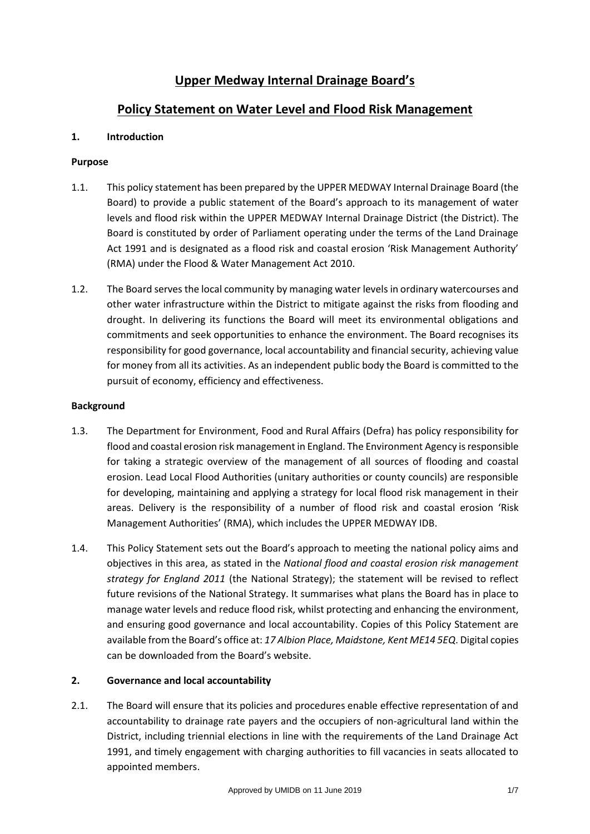# **Upper Medway Internal Drainage Board's**

## **Policy Statement on Water Level and Flood Risk Management**

#### **1. Introduction**

#### **Purpose**

- 1.1. This policy statement has been prepared by the UPPER MEDWAY Internal Drainage Board (the Board) to provide a public statement of the Board's approach to its management of water levels and flood risk within the UPPER MEDWAY Internal Drainage District (the District). The Board is constituted by order of Parliament operating under the terms of the Land Drainage Act 1991 and is designated as a flood risk and coastal erosion 'Risk Management Authority' (RMA) under the Flood & Water Management Act 2010.
- 1.2. The Board serves the local community by managing water levels in ordinary watercourses and other water infrastructure within the District to mitigate against the risks from flooding and drought. In delivering its functions the Board will meet its environmental obligations and commitments and seek opportunities to enhance the environment. The Board recognises its responsibility for good governance, local accountability and financial security, achieving value for money from all its activities. As an independent public body the Board is committed to the pursuit of economy, efficiency and effectiveness.

#### **Background**

- 1.3. The Department for Environment, Food and Rural Affairs (Defra) has policy responsibility for flood and coastal erosion risk management in England. The Environment Agency is responsible for taking a strategic overview of the management of all sources of flooding and coastal erosion. Lead Local Flood Authorities (unitary authorities or county councils) are responsible for developing, maintaining and applying a strategy for local flood risk management in their areas. Delivery is the responsibility of a number of flood risk and coastal erosion 'Risk Management Authorities' (RMA), which includes the UPPER MEDWAY IDB.
- 1.4. This Policy Statement sets out the Board's approach to meeting the national policy aims and objectives in this area, as stated in the *National flood and coastal erosion risk management strategy for England 2011* (the National Strategy); the statement will be revised to reflect future revisions of the National Strategy. It summarises what plans the Board has in place to manage water levels and reduce flood risk, whilst protecting and enhancing the environment, and ensuring good governance and local accountability. Copies of this Policy Statement are available from the Board's office at: *17 Albion Place, Maidstone, Kent ME14 5EQ*. Digital copies can be downloaded from the Board's website.

## **2. Governance and local accountability**

2.1. The Board will ensure that its policies and procedures enable effective representation of and accountability to drainage rate payers and the occupiers of non-agricultural land within the District, including triennial elections in line with the requirements of the Land Drainage Act 1991, and timely engagement with charging authorities to fill vacancies in seats allocated to appointed members.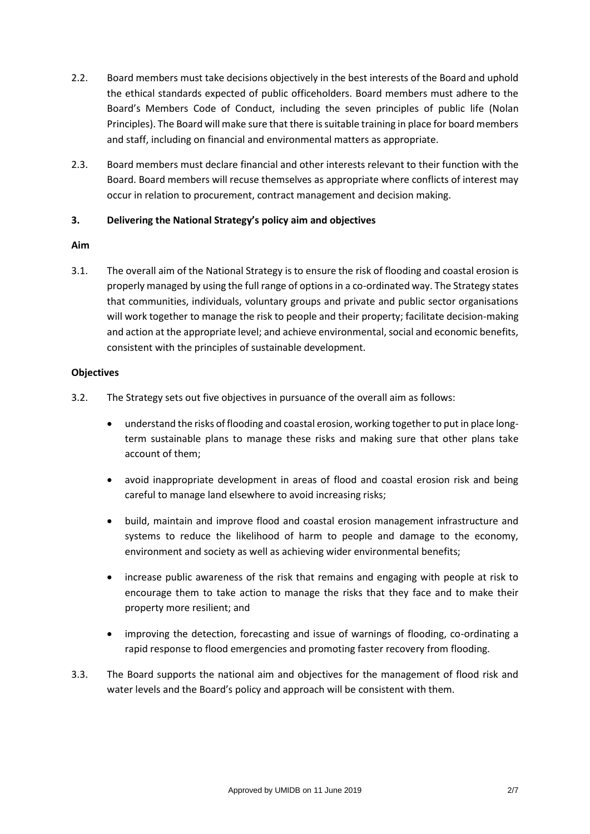- 2.2. Board members must take decisions objectively in the best interests of the Board and uphold the ethical standards expected of public officeholders. Board members must adhere to the Board's Members Code of Conduct, including the seven principles of public life (Nolan Principles). The Board will make sure that there is suitable training in place for board members and staff, including on financial and environmental matters as appropriate.
- 2.3. Board members must declare financial and other interests relevant to their function with the Board. Board members will recuse themselves as appropriate where conflicts of interest may occur in relation to procurement, contract management and decision making.

## **3. Delivering the National Strategy's policy aim and objectives**

#### **Aim**

3.1. The overall aim of the National Strategy is to ensure the risk of flooding and coastal erosion is properly managed by using the full range of options in a co-ordinated way. The Strategy states that communities, individuals, voluntary groups and private and public sector organisations will work together to manage the risk to people and their property; facilitate decision-making and action at the appropriate level; and achieve environmental, social and economic benefits, consistent with the principles of sustainable development.

#### **Objectives**

- 3.2. The Strategy sets out five objectives in pursuance of the overall aim as follows:
	- understand the risks of flooding and coastal erosion, working together to put in place longterm sustainable plans to manage these risks and making sure that other plans take account of them;
	- avoid inappropriate development in areas of flood and coastal erosion risk and being careful to manage land elsewhere to avoid increasing risks;
	- build, maintain and improve flood and coastal erosion management infrastructure and systems to reduce the likelihood of harm to people and damage to the economy, environment and society as well as achieving wider environmental benefits;
	- increase public awareness of the risk that remains and engaging with people at risk to encourage them to take action to manage the risks that they face and to make their property more resilient; and
	- improving the detection, forecasting and issue of warnings of flooding, co-ordinating a rapid response to flood emergencies and promoting faster recovery from flooding.
- 3.3. The Board supports the national aim and objectives for the management of flood risk and water levels and the Board's policy and approach will be consistent with them.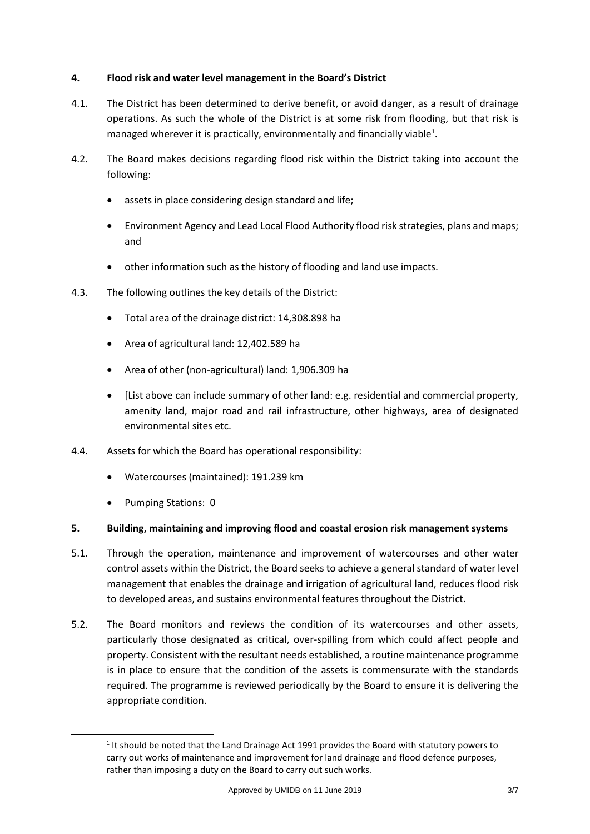## **4. Flood risk and water level management in the Board's District**

- 4.1. The District has been determined to derive benefit, or avoid danger, as a result of drainage operations. As such the whole of the District is at some risk from flooding, but that risk is managed wherever it is practically, environmentally and financially viable<sup>1</sup>.
- 4.2. The Board makes decisions regarding flood risk within the District taking into account the following:
	- assets in place considering design standard and life;
	- Environment Agency and Lead Local Flood Authority flood risk strategies, plans and maps; and
	- other information such as the history of flooding and land use impacts.
- 4.3. The following outlines the key details of the District:
	- Total area of the drainage district: 14,308.898 ha
	- Area of agricultural land: 12,402.589 ha
	- Area of other (non-agricultural) land: 1,906.309 ha
	- [List above can include summary of other land: e.g. residential and commercial property, amenity land, major road and rail infrastructure, other highways, area of designated environmental sites etc.
- 4.4. Assets for which the Board has operational responsibility:
	- Watercourses (maintained): 191.239 km
	- Pumping Stations: 0

-

## **5. Building, maintaining and improving flood and coastal erosion risk management systems**

- 5.1. Through the operation, maintenance and improvement of watercourses and other water control assets within the District, the Board seeks to achieve a general standard of water level management that enables the drainage and irrigation of agricultural land, reduces flood risk to developed areas, and sustains environmental features throughout the District.
- 5.2. The Board monitors and reviews the condition of its watercourses and other assets, particularly those designated as critical, over-spilling from which could affect people and property. Consistent with the resultant needs established, a routine maintenance programme is in place to ensure that the condition of the assets is commensurate with the standards required. The programme is reviewed periodically by the Board to ensure it is delivering the appropriate condition.

 $<sup>1</sup>$  It should be noted that the Land Drainage Act 1991 provides the Board with statutory powers to</sup> carry out works of maintenance and improvement for land drainage and flood defence purposes, rather than imposing a duty on the Board to carry out such works.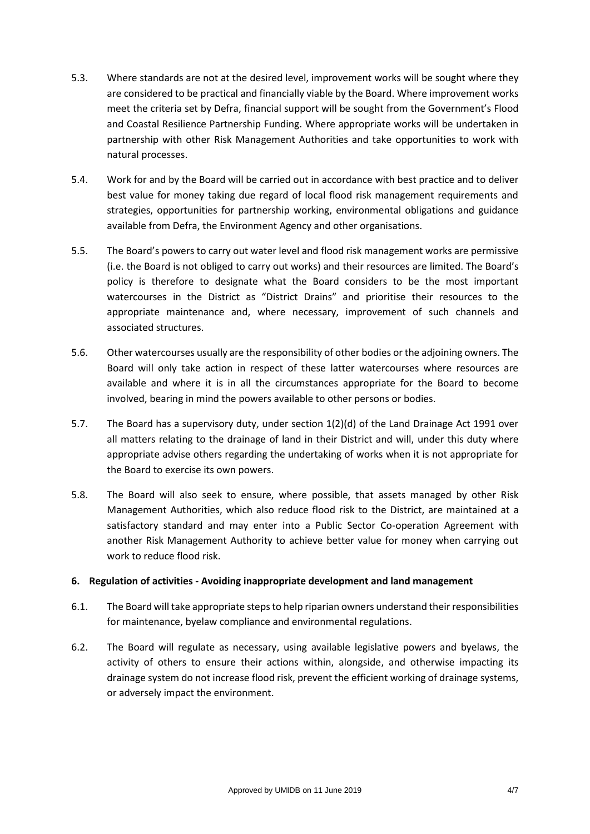- 5.3. Where standards are not at the desired level, improvement works will be sought where they are considered to be practical and financially viable by the Board. Where improvement works meet the criteria set by Defra, financial support will be sought from the Government's Flood and Coastal Resilience Partnership Funding. Where appropriate works will be undertaken in partnership with other Risk Management Authorities and take opportunities to work with natural processes.
- 5.4. Work for and by the Board will be carried out in accordance with best practice and to deliver best value for money taking due regard of local flood risk management requirements and strategies, opportunities for partnership working, environmental obligations and guidance available from Defra, the Environment Agency and other organisations.
- 5.5. The Board's powers to carry out water level and flood risk management works are permissive (i.e. the Board is not obliged to carry out works) and their resources are limited. The Board's policy is therefore to designate what the Board considers to be the most important watercourses in the District as "District Drains" and prioritise their resources to the appropriate maintenance and, where necessary, improvement of such channels and associated structures.
- 5.6. Other watercourses usually are the responsibility of other bodies or the adjoining owners. The Board will only take action in respect of these latter watercourses where resources are available and where it is in all the circumstances appropriate for the Board to become involved, bearing in mind the powers available to other persons or bodies.
- 5.7. The Board has a supervisory duty, under section 1(2)(d) of the Land Drainage Act 1991 over all matters relating to the drainage of land in their District and will, under this duty where appropriate advise others regarding the undertaking of works when it is not appropriate for the Board to exercise its own powers.
- 5.8. The Board will also seek to ensure, where possible, that assets managed by other Risk Management Authorities, which also reduce flood risk to the District, are maintained at a satisfactory standard and may enter into a Public Sector Co-operation Agreement with another Risk Management Authority to achieve better value for money when carrying out work to reduce flood risk.

## **6. Regulation of activities - Avoiding inappropriate development and land management**

- 6.1. The Board will take appropriate steps to help riparian owners understand their responsibilities for maintenance, byelaw compliance and environmental regulations.
- 6.2. The Board will regulate as necessary, using available legislative powers and byelaws, the activity of others to ensure their actions within, alongside, and otherwise impacting its drainage system do not increase flood risk, prevent the efficient working of drainage systems, or adversely impact the environment.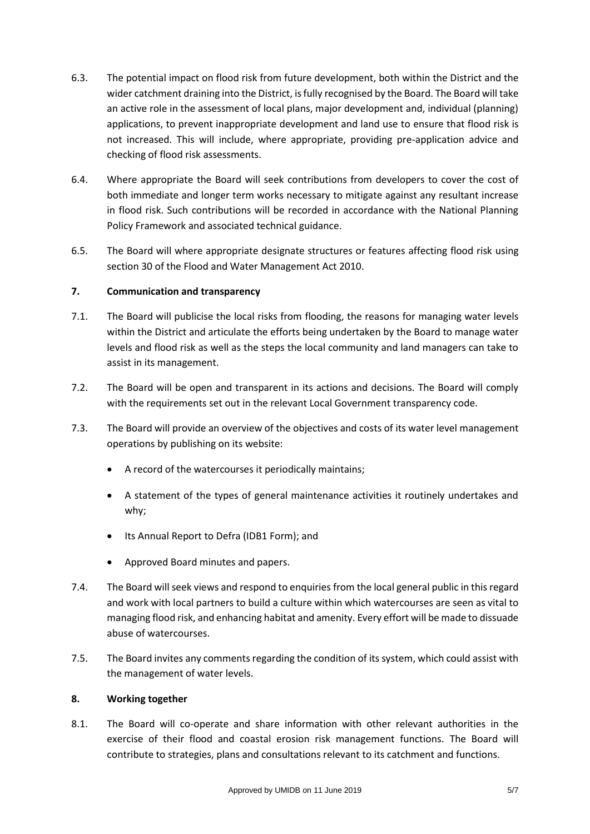- 6.3. The potential impact on flood risk from future development, both within the District and the wider catchment draining into the District, is fully recognised by the Board. The Board will take an active role in the assessment of local plans, major development and, individual (planning) applications, to prevent inappropriate development and land use to ensure that flood risk is not increased. This will include, where appropriate, providing pre-application advice and checking of flood risk assessments.
- 6.4. Where appropriate the Board will seek contributions from developers to cover the cost of both immediate and longer term works necessary to mitigate against any resultant increase in flood risk. Such contributions will be recorded in accordance with the National Planning Policy Framework and associated technical guidance.
- 6.5. The Board will where appropriate designate structures or features affecting flood risk using section 30 of the Flood and Water Management Act 2010.

## **7. Communication and transparency**

- 7.1. The Board will publicise the local risks from flooding, the reasons for managing water levels within the District and articulate the efforts being undertaken by the Board to manage water levels and flood risk as well as the steps the local community and land managers can take to assist in its management.
- 7.2. The Board will be open and transparent in its actions and decisions. The Board will comply with the requirements set out in the relevant Local Government transparency code.
- 7.3. The Board will provide an overview of the objectives and costs of its water level management operations by publishing on its website:
	- A record of the watercourses it periodically maintains;
	- A statement of the types of general maintenance activities it routinely undertakes and why;
	- Its Annual Report to Defra (IDB1 Form); and
	- Approved Board minutes and papers.
- 7.4. The Board will seek views and respond to enquiries from the local general public in this regard and work with local partners to build a culture within which watercourses are seen as vital to managing flood risk, and enhancing habitat and amenity. Every effort will be made to dissuade abuse of watercourses.
- 7.5. The Board invites any comments regarding the condition of its system, which could assist with the management of water levels.

## **8. Working together**

8.1. The Board will co-operate and share information with other relevant authorities in the exercise of their flood and coastal erosion risk management functions. The Board will contribute to strategies, plans and consultations relevant to its catchment and functions.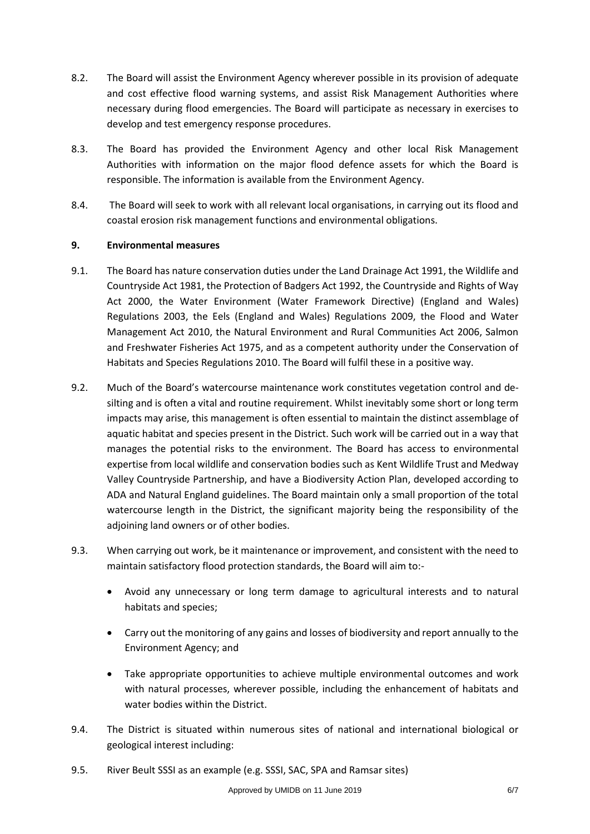- 8.2. The Board will assist the Environment Agency wherever possible in its provision of adequate and cost effective flood warning systems, and assist Risk Management Authorities where necessary during flood emergencies. The Board will participate as necessary in exercises to develop and test emergency response procedures.
- 8.3. The Board has provided the Environment Agency and other local Risk Management Authorities with information on the major flood defence assets for which the Board is responsible. The information is available from the Environment Agency.
- 8.4. The Board will seek to work with all relevant local organisations, in carrying out its flood and coastal erosion risk management functions and environmental obligations.

#### **9. Environmental measures**

- 9.1. The Board has nature conservation duties under the Land Drainage Act 1991, the Wildlife and Countryside Act 1981, the Protection of Badgers Act 1992, the Countryside and Rights of Way Act 2000, the Water Environment (Water Framework Directive) (England and Wales) Regulations 2003, the Eels (England and Wales) Regulations 2009, the Flood and Water Management Act 2010, the Natural Environment and Rural Communities Act 2006, Salmon and Freshwater Fisheries Act 1975, and as a competent authority under the Conservation of Habitats and Species Regulations 2010. The Board will fulfil these in a positive way.
- 9.2. Much of the Board's watercourse maintenance work constitutes vegetation control and desilting and is often a vital and routine requirement. Whilst inevitably some short or long term impacts may arise, this management is often essential to maintain the distinct assemblage of aquatic habitat and species present in the District. Such work will be carried out in a way that manages the potential risks to the environment. The Board has access to environmental expertise from local wildlife and conservation bodies such as Kent Wildlife Trust and Medway Valley Countryside Partnership, and have a Biodiversity Action Plan, developed according to ADA and Natural England guidelines. The Board maintain only a small proportion of the total watercourse length in the District, the significant majority being the responsibility of the adjoining land owners or of other bodies.
- 9.3. When carrying out work, be it maintenance or improvement, and consistent with the need to maintain satisfactory flood protection standards, the Board will aim to:-
	- Avoid any unnecessary or long term damage to agricultural interests and to natural habitats and species;
	- Carry out the monitoring of any gains and losses of biodiversity and report annually to the Environment Agency; and
	- Take appropriate opportunities to achieve multiple environmental outcomes and work with natural processes, wherever possible, including the enhancement of habitats and water bodies within the District.
- 9.4. The District is situated within numerous sites of national and international biological or geological interest including:
- 9.5. River Beult SSSI as an example (e.g. SSSI, SAC, SPA and Ramsar sites)